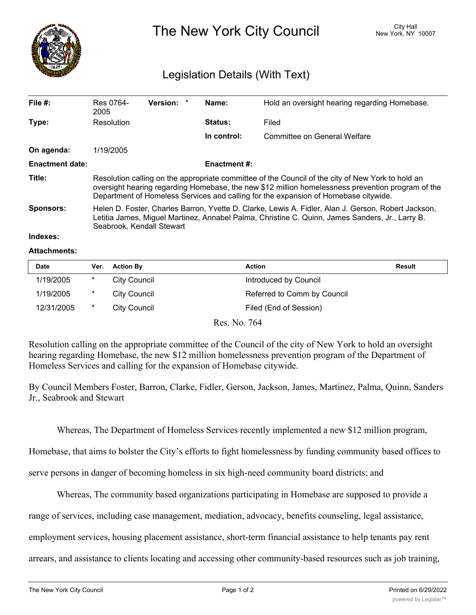

The New York City Council New York, NY 10007

## Legislation Details (With Text)

| File $#$ :             | Res 0764-<br>2005                                                                                                                                                                                                                                                                             | <b>Version:</b> | $\ast$ | Name:               | Hold an oversight hearing regarding Homebase. |  |
|------------------------|-----------------------------------------------------------------------------------------------------------------------------------------------------------------------------------------------------------------------------------------------------------------------------------------------|-----------------|--------|---------------------|-----------------------------------------------|--|
| Type:                  | Resolution                                                                                                                                                                                                                                                                                    |                 |        | <b>Status:</b>      | Filed                                         |  |
|                        |                                                                                                                                                                                                                                                                                               |                 |        | In control:         | Committee on General Welfare                  |  |
| On agenda:             | 1/19/2005                                                                                                                                                                                                                                                                                     |                 |        |                     |                                               |  |
| <b>Enactment date:</b> |                                                                                                                                                                                                                                                                                               |                 |        | <b>Enactment #:</b> |                                               |  |
| Title:                 | Resolution calling on the appropriate committee of the Council of the city of New York to hold an<br>oversight hearing regarding Homebase, the new \$12 million homelessness prevention program of the<br>Department of Homeless Services and calling for the expansion of Homebase citywide. |                 |        |                     |                                               |  |
| Sponsors:              | Helen D. Foster, Charles Barron, Yvette D. Clarke, Lewis A. Fidler, Alan J. Gerson, Robert Jackson,<br>Letitia James, Miguel Martinez, Annabel Palma, Christine C. Quinn, James Sanders, Jr., Larry B.<br>Seabrook, Kendall Stewart                                                           |                 |        |                     |                                               |  |
| Indexes:               |                                                                                                                                                                                                                                                                                               |                 |        |                     |                                               |  |

## **Attachments:**

| <b>Date</b> | Ver. | <b>Action By</b>    | Action                      | <b>Result</b> |
|-------------|------|---------------------|-----------------------------|---------------|
| 1/19/2005   | *    | <b>City Council</b> | Introduced by Council       |               |
| 1/19/2005   | *    | City Council        | Referred to Comm by Council |               |
| 12/31/2005  | *    | City Council        | Filed (End of Session)      |               |

Res. No. 764

Resolution calling on the appropriate committee of the Council of the city of New York to hold an oversight hearing regarding Homebase, the new \$12 million homelessness prevention program of the Department of Homeless Services and calling for the expansion of Homebase citywide.

By Council Members Foster, Barron, Clarke, Fidler, Gerson, Jackson, James, Martinez, Palma, Quinn, Sanders Jr., Seabrook and Stewart

Whereas, The Department of Homeless Services recently implemented a new \$12 million program,

Homebase, that aims to bolster the City's efforts to fight homelessness by funding community based offices to

serve persons in danger of becoming homeless in six high-need community board districts; and

Whereas, The community based organizations participating in Homebase are supposed to provide a

range of services, including case management, mediation, advocacy, benefits counseling, legal assistance,

employment services, housing placement assistance, short-term financial assistance to help tenants pay rent

arrears, and assistance to clients locating and accessing other community-based resources such as job training,